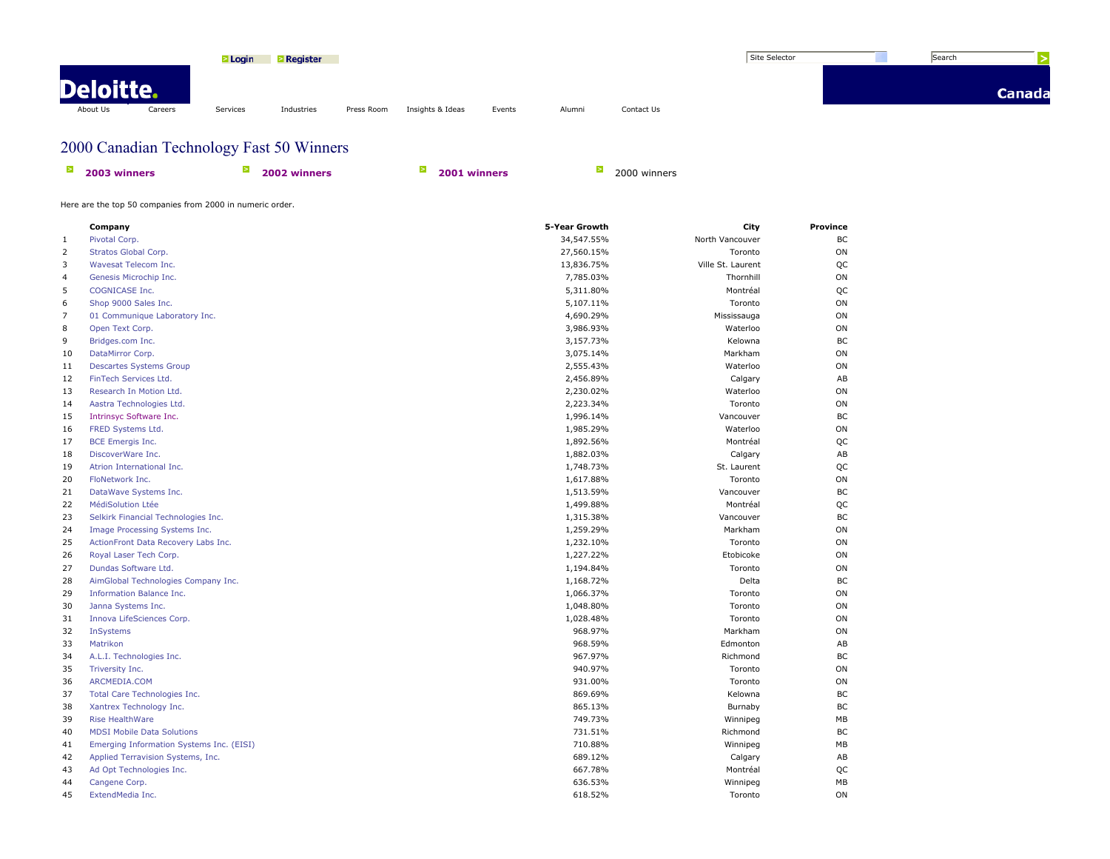|           |         | <b>TLogin</b> | <b>Register</b> |            |                  |        |        |            | Site Selector | Search |        |
|-----------|---------|---------------|-----------------|------------|------------------|--------|--------|------------|---------------|--------|--------|
| Deloitte. |         |               |                 |            |                  |        |        |            |               |        | Canada |
| About Us  | Careers | Services      | Industries      | Press Room | Insights & Ideas | Events | Alumni | Contact Us |               |        |        |

## 2000 Canadian Technology Fast 50 Winners

| 2003 winners | 2002 winners | 2001 winners | 2000 winners |
|--------------|--------------|--------------|--------------|
|              |              |              |              |

Here are the top 50 companies from 2000 in numeric order.

|                | Company                                  | 5-Year Growth | City              | Province |
|----------------|------------------------------------------|---------------|-------------------|----------|
| 1              | Pivotal Corp.                            | 34,547.55%    | North Vancouver   | BC       |
| $\overline{2}$ | Stratos Global Corp.                     | 27,560.15%    | Toronto           | ON       |
| 3              | Wavesat Telecom Inc.                     | 13,836.75%    | Ville St. Laurent | QC       |
| $\overline{4}$ | Genesis Microchip Inc.                   | 7,785.03%     | Thornhill         | ON       |
| 5              | <b>COGNICASE Inc.</b>                    | 5,311.80%     | Montréal          | QC       |
| 6              | Shop 9000 Sales Inc.                     | 5,107.11%     | Toronto           | ON       |
| $\overline{7}$ | 01 Communique Laboratory Inc.            | 4,690.29%     | Mississauga       | ON       |
| 8              | Open Text Corp.                          | 3,986.93%     | Waterloo          | ON       |
| 9              | Bridges.com Inc.                         | 3,157.73%     | Kelowna           | BC       |
| 10             | DataMirror Corp.                         | 3,075.14%     | Markham           | ON       |
| 11             | <b>Descartes Systems Group</b>           | 2,555.43%     | Waterloo          | ON       |
| 12             | FinTech Services Ltd.                    | 2,456.89%     | Calgary           | AB       |
| 13             | Research In Motion Ltd.                  | 2,230.02%     | Waterloo          | ON       |
| 14             | Aastra Technologies Ltd.                 | 2,223.34%     | Toronto           | ON       |
| 15             | Intrinsyc Software Inc.                  | 1,996.14%     | Vancouver         | BC       |
| 16             | FRED Systems Ltd.                        | 1,985.29%     | Waterloo          | ON       |
| 17             | <b>BCE Emergis Inc.</b>                  | 1,892.56%     | Montréal          | QC       |
| 18             | DiscoverWare Inc.                        | 1,882.03%     | Calgary           | AB       |
| 19             | Atrion International Inc.                | 1,748.73%     | St. Laurent       | QC       |
| 20             | FloNetwork Inc.                          | 1,617.88%     | Toronto           | ON       |
| 21             | DataWave Systems Inc.                    | 1,513.59%     | Vancouver         | BC       |
| 22             | MédiSolution Ltée                        | 1,499.88%     | Montréal          | QC       |
| 23             | Selkirk Financial Technologies Inc.      | 1,315.38%     | Vancouver         | BC       |
| 24             | Image Processing Systems Inc.            | 1,259.29%     | Markham           | ON       |
| 25             | ActionFront Data Recovery Labs Inc.      | 1,232.10%     | Toronto           | ON       |
| 26             | Royal Laser Tech Corp.                   | 1,227.22%     | Etobicoke         | ON       |
| 27             | Dundas Software Ltd.                     | 1,194.84%     | Toronto           | ON       |
| 28             | AimGlobal Technologies Company Inc.      | 1,168.72%     | Delta             | BC       |
| 29             | Information Balance Inc.                 | 1,066.37%     | Toronto           | ON       |
| 30             | Janna Systems Inc.                       | 1,048.80%     | Toronto           | ON       |
| 31             | Innova LifeSciences Corp.                | 1,028.48%     | Toronto           | ON       |
| 32             | InSystems                                | 968.97%       | Markham           | ON       |
| 33             | Matrikon                                 | 968.59%       | Edmonton          | AB       |
| 34             | A.L.I. Technologies Inc.                 | 967.97%       | Richmond          | BC       |
| 35             | Triversity Inc.                          | 940.97%       | Toronto           | ON       |
| 36             | ARCMEDIA.COM                             | 931.00%       | Toronto           | ON       |
| 37             | Total Care Technologies Inc.             | 869.69%       | Kelowna           | BC       |
| 38             | Xantrex Technology Inc.                  | 865.13%       | Burnaby           | BC       |
| 39             | <b>Rise HealthWare</b>                   | 749.73%       | Winnipeg          | MB       |
| 40             | <b>MDSI Mobile Data Solutions</b>        | 731.51%       | Richmond          | BC       |
| 41             | Emerging Information Systems Inc. (EISI) | 710.88%       | Winnipeg          | MB       |
| 42             | Applied Terravision Systems, Inc.        | 689.12%       | Calgary           | AB       |
| 43             | Ad Opt Technologies Inc.                 | 667.78%       | Montréal          | QC       |
| 44             | Cangene Corp.                            | 636.53%       | Winnipeg          | MB       |
| 45             | ExtendMedia Inc.                         | 618.52%       | Toronto           | ON       |
|                |                                          |               |                   |          |